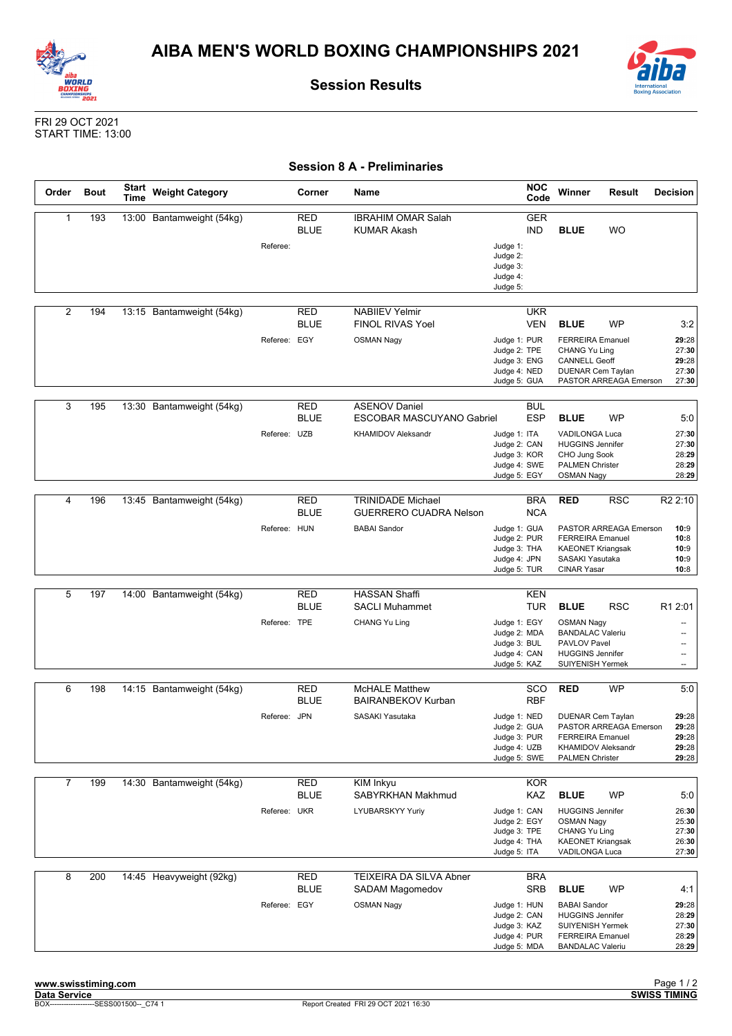



**Session Results**

## FRI 29 OCT 2021 START TIME: 13:00

|  |  |  |  | <b>Session 8 A - Preliminaries</b> |
|--|--|--|--|------------------------------------|
|--|--|--|--|------------------------------------|

| Order          | <b>Bout</b> | <b>Start</b><br><b>Time</b> | <b>Weight Category</b>    |              | Corner                    | Name                                                                                  | <b>NOC</b><br>Code                                                                                       | Winner                                                                                                                                         | Result     | <b>Decision</b>                                             |
|----------------|-------------|-----------------------------|---------------------------|--------------|---------------------------|---------------------------------------------------------------------------------------|----------------------------------------------------------------------------------------------------------|------------------------------------------------------------------------------------------------------------------------------------------------|------------|-------------------------------------------------------------|
| 1              | 193         |                             | 13:00 Bantamweight (54kg) | Referee:     | RED<br><b>BLUE</b>        | <b>IBRAHIM OMAR Salah</b><br><b>KUMAR Akash</b>                                       | <b>GER</b><br><b>IND</b><br>Judge 1:<br>Judge 2:<br>Judge 3:<br>Judge 4:<br>Judge 5:                     | <b>BLUE</b>                                                                                                                                    | <b>WO</b>  |                                                             |
| $\overline{2}$ | 194         |                             | 13:15 Bantamweight (54kg) | Referee: EGY | <b>RED</b><br><b>BLUE</b> | <b>NABIIEV Yelmir</b><br><b>FINOL RIVAS Yoel</b><br><b>OSMAN Nagy</b>                 | <b>UKR</b><br><b>VEN</b><br>Judge 1: PUR<br>Judge 2: TPE<br>Judge 3: ENG<br>Judge 4: NED<br>Judge 5: GUA | <b>BLUE</b><br><b>FERREIRA Emanuel</b><br>CHANG Yu Ling<br><b>CANNELL Geoff</b><br><b>DUENAR Cem Taylan</b><br>PASTOR ARREAGA Emerson          | <b>WP</b>  | 3:2<br>29:28<br>27:30<br>29:28<br>27:30<br>27:30            |
| 3              | 195         |                             | 13:30 Bantamweight (54kg) | Referee: UZB | RED<br><b>BLUE</b>        | <b>ASENOV Daniel</b><br><b>ESCOBAR MASCUYANO Gabriel</b><br><b>KHAMIDOV Aleksandr</b> | <b>BUL</b><br><b>ESP</b><br>Judge 1: ITA<br>Judge 2: CAN<br>Judge 3: KOR<br>Judge 4: SWE<br>Judge 5: EGY | <b>BLUE</b><br><b>VADILONGA Luca</b><br><b>HUGGINS Jennifer</b><br>CHO Jung Sook<br><b>PALMEN Christer</b><br><b>OSMAN Nagy</b>                | <b>WP</b>  | 5:0<br>27:30<br>27:30<br>28:29<br>28:29<br>28:29            |
| 4              | 196         |                             | 13:45 Bantamweight (54kg) | Referee: HUN | <b>RED</b><br><b>BLUE</b> | <b>TRINIDADE Michael</b><br><b>GUERRERO CUADRA Nelson</b><br><b>BABAI Sandor</b>      | <b>BRA</b><br><b>NCA</b><br>Judge 1: GUA<br>Judge 2: PUR<br>Judge 3: THA<br>Judge 4: JPN<br>Judge 5: TUR | <b>RED</b><br>PASTOR ARREAGA Emerson<br><b>FERREIRA</b> Emanuel<br><b>KAEONET Kriangsak</b><br>SASAKI Yasutaka<br><b>CINAR Yasar</b>           | <b>RSC</b> | R <sub>2</sub> 2:10<br>10:9<br>10:8<br>10:9<br>10:9<br>10:8 |
| 5              | 197         |                             | 14:00 Bantamweight (54kg) | Referee: TPE | RED<br><b>BLUE</b>        | <b>HASSAN Shaffi</b><br><b>SACLI Muhammet</b><br>CHANG Yu Ling                        | <b>KEN</b><br><b>TUR</b><br>Judge 1: EGY<br>Judge 2: MDA<br>Judge 3: BUL<br>Judge 4: CAN<br>Judge 5: KAZ | <b>BLUE</b><br><b>OSMAN Nagy</b><br><b>BANDALAC Valeriu</b><br>PAVLOV Pavel<br><b>HUGGINS Jennifer</b><br><b>SUIYENISH Yermek</b>              | <b>RSC</b> | R1 2:01<br>--<br>$\overline{a}$<br>$\overline{\phantom{a}}$ |
| 6              | 198         |                             | 14:15 Bantamweight (54kg) | Referee: JPN | RED<br><b>BLUE</b>        | <b>McHALE Matthew</b><br><b>BAIRANBEKOV Kurban</b><br>SASAKI Yasutaka                 | sco<br><b>RBF</b><br>Judge 1: NED<br>Judge 2: GUA<br>Judge 3: PUR<br>Judge 4: UZB<br>Judge 5: SWE        | <b>RED</b><br><b>DUENAR Cem Taylan</b><br>PASTOR ARREAGA Emerson<br><b>FERREIRA Emanuel</b><br>KHAMIDOV Aleksandr<br><b>PALMEN Christer</b>    | WP         | 5:0<br>29:28<br>29:28<br>29:28<br>29:28<br>29:28            |
| $\overline{7}$ | 199         |                             | 14:30 Bantamweight (54kg) | Referee: UKR | RED<br><b>BLUE</b>        | KIM Inkyu<br>SABYRKHAN Makhmud<br>LYUBARSKYY Yuriy                                    | <b>KOR</b><br>KAZ<br>Judge 1: CAN<br>Judge 2: EGY<br>Judge 3: TPE<br>Judge 4: THA<br>Judge 5: ITA        | <b>BLUE</b><br><b>HUGGINS Jennifer</b><br><b>OSMAN Nagy</b><br><b>CHANG Yu Ling</b><br><b>KAEONET Kriangsak</b><br>VADILONGA Luca              | WP         | 5:0<br>26:30<br>25:30<br>27:30<br>26:30<br>27:30            |
| 8              | 200         |                             | 14:45 Heavyweight (92kg)  | Referee: EGY | <b>RED</b><br><b>BLUE</b> | <b>TEIXEIRA DA SILVA Abner</b><br>SADAM Magomedov<br><b>OSMAN Nagy</b>                | <b>BRA</b><br><b>SRB</b><br>Judge 1: HUN<br>Judge 2: CAN<br>Judge 3: KAZ<br>Judge 4: PUR<br>Judge 5: MDA | <b>BLUE</b><br><b>BABAI</b> Sandor<br><b>HUGGINS Jennifer</b><br><b>SUIYENISH Yermek</b><br><b>FERREIRA Emanuel</b><br><b>BANDALAC Valeriu</b> | WP         | 4:1<br>29:28<br>28:29<br>27:30<br>28:29<br>28:29            |